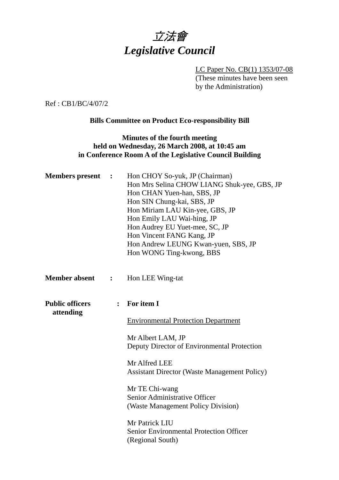

LC Paper No. CB(1) 1353/07-08 (These minutes have been seen by the Administration)

Ref : CB1/BC/4/07/2

## **Bills Committee on Product Eco-responsibility Bill**

## **Minutes of the fourth meeting held on Wednesday, 26 March 2008, at 10:45 am in Conference Room A of the Legislative Council Building**

| <b>Members</b> present              | $\ddot{\phantom{1}}$ | Hon CHOY So-yuk, JP (Chairman)<br>Hon Mrs Selina CHOW LIANG Shuk-yee, GBS, JP<br>Hon CHAN Yuen-han, SBS, JP<br>Hon SIN Chung-kai, SBS, JP<br>Hon Miriam LAU Kin-yee, GBS, JP<br>Hon Emily LAU Wai-hing, JP<br>Hon Audrey EU Yuet-mee, SC, JP<br>Hon Vincent FANG Kang, JP<br>Hon Andrew LEUNG Kwan-yuen, SBS, JP<br>Hon WONG Ting-kwong, BBS |
|-------------------------------------|----------------------|----------------------------------------------------------------------------------------------------------------------------------------------------------------------------------------------------------------------------------------------------------------------------------------------------------------------------------------------|
| <b>Member absent</b>                | $\ddot{\cdot}$       | Hon LEE Wing-tat                                                                                                                                                                                                                                                                                                                             |
| <b>Public officers</b><br>attending | $\ddot{\cdot}$       | For item I                                                                                                                                                                                                                                                                                                                                   |
|                                     |                      | <b>Environmental Protection Department</b>                                                                                                                                                                                                                                                                                                   |
|                                     |                      | Mr Albert LAM, JP<br>Deputy Director of Environmental Protection                                                                                                                                                                                                                                                                             |
|                                     |                      | Mr Alfred LEE<br><b>Assistant Director (Waste Management Policy)</b>                                                                                                                                                                                                                                                                         |
|                                     |                      | Mr TE Chi-wang<br>Senior Administrative Officer<br>(Waste Management Policy Division)                                                                                                                                                                                                                                                        |
|                                     |                      | Mr Patrick LIU<br><b>Senior Environmental Protection Officer</b><br>(Regional South)                                                                                                                                                                                                                                                         |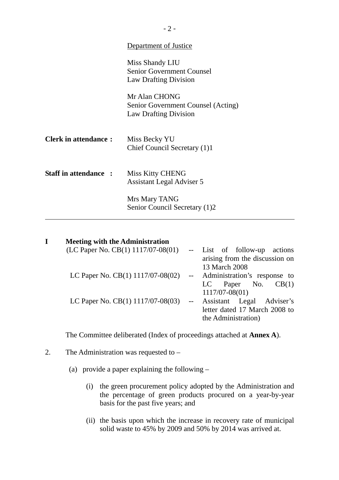|                              | Department of Justice                                                               |
|------------------------------|-------------------------------------------------------------------------------------|
|                              | Miss Shandy LIU<br><b>Senior Government Counsel</b><br><b>Law Drafting Division</b> |
|                              | Mr Alan CHONG<br>Senior Government Counsel (Acting)<br><b>Law Drafting Division</b> |
| <b>Clerk in attendance:</b>  | Miss Becky YU<br>Chief Council Secretary (1)1                                       |
| <b>Staff in attendance :</b> | <b>Miss Kitty CHENG</b><br><b>Assistant Legal Adviser 5</b>                         |
|                              | Mrs Mary TANG<br>Senior Council Secretary (1)2                                      |

| <b>Meeting with the Administration</b>                              |                                 |                                |
|---------------------------------------------------------------------|---------------------------------|--------------------------------|
| (LC Paper No. CB(1) 1117/07-08(01)                                  |                                 | -- List of follow-up actions   |
|                                                                     |                                 | arising from the discussion on |
|                                                                     |                                 | 13 March 2008                  |
| LC Paper No. $CB(1)$ 1117/07-08(02) -- Administration's response to |                                 |                                |
|                                                                     |                                 | LC Paper No. $CB(1)$           |
|                                                                     |                                 | $1117/07 - 08(01)$             |
| LC Paper No. $CB(1)$ 1117/07-08(03)                                 | $\frac{1}{2}$ and $\frac{1}{2}$ | Assistant Legal Adviser's      |
|                                                                     |                                 | letter dated 17 March 2008 to  |
|                                                                     |                                 | the Administration)            |

The Committee deliberated (Index of proceedings attached at **Annex A**).

2. The Administration was requested to –

(a) provide a paper explaining the following –

- (i) the green procurement policy adopted by the Administration and the percentage of green products procured on a year-by-year basis for the past five years; and
- (ii) the basis upon which the increase in recovery rate of municipal solid waste to 45% by 2009 and 50% by 2014 was arrived at.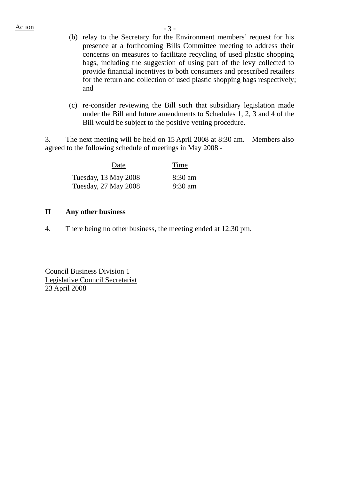- (b) relay to the Secretary for the Environment members' request for his presence at a forthcoming Bills Committee meeting to address their concerns on measures to facilitate recycling of used plastic shopping bags, including the suggestion of using part of the levy collected to provide financial incentives to both consumers and prescribed retailers for the return and collection of used plastic shopping bags respectively; and
- (c) re-consider reviewing the Bill such that subsidiary legislation made under the Bill and future amendments to Schedules 1, 2, 3 and 4 of the Bill would be subject to the positive vetting procedure.

3. The next meeting will be held on 15 April 2008 at 8:30 am. Members also agreed to the following schedule of meetings in May 2008 -

| Date                 | Time              |
|----------------------|-------------------|
| Tuesday, 13 May 2008 | $8:30 \text{ am}$ |
| Tuesday, 27 May 2008 | $8:30 \text{ am}$ |

## **II Any other business**

4. There being no other business, the meeting ended at 12:30 pm.

Council Business Division 1 Legislative Council Secretariat 23 April 2008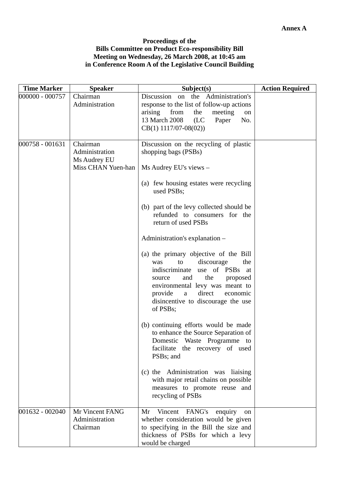## **Proceedings of the Bills Committee on Product Eco-responsibility Bill Meeting on Wednesday, 26 March 2008, at 10:45 am in Conference Room A of the Legislative Council Building**

| <b>Time Marker</b> | <b>Speaker</b>                                                   | Subject(s)                                                                                                                                                                                                                                                                                                                                                                                                                                                                                                                                                                                                                                                                                                                                                                                                                                                                        | <b>Action Required</b> |
|--------------------|------------------------------------------------------------------|-----------------------------------------------------------------------------------------------------------------------------------------------------------------------------------------------------------------------------------------------------------------------------------------------------------------------------------------------------------------------------------------------------------------------------------------------------------------------------------------------------------------------------------------------------------------------------------------------------------------------------------------------------------------------------------------------------------------------------------------------------------------------------------------------------------------------------------------------------------------------------------|------------------------|
| 000000 - 000757    | Chairman<br>Administration                                       | Discussion on the Administration's<br>response to the list of follow-up actions<br>arising<br>from<br>the<br>meeting<br>on<br>13 March 2008<br>(LC)<br>Paper<br>No.<br>$CB(1)$ 1117/07-08(02))                                                                                                                                                                                                                                                                                                                                                                                                                                                                                                                                                                                                                                                                                    |                        |
| 000758 - 001631    | Chairman<br>Administration<br>Ms Audrey EU<br>Miss CHAN Yuen-han | Discussion on the recycling of plastic<br>shopping bags (PSBs)<br>Ms Audrey EU's views -<br>(a) few housing estates were recycling<br>used PSBs;<br>(b) part of the levy collected should be<br>refunded to consumers for the<br>return of used PSBs<br>Administration's explanation -<br>(a) the primary objective of the Bill<br>discourage<br>to<br>the<br>was<br>indiscriminate use of PSBs at<br>the<br>and<br>proposed<br>source<br>environmental levy was meant to<br>direct<br>provide<br>a<br>economic<br>disincentive to discourage the use<br>of PSBs;<br>(b) continuing efforts would be made<br>to enhance the Source Separation of<br>Domestic Waste Programme to<br>facilitate the recovery of used<br>PSB <sub>s</sub> ; and<br>(c) the Administration was liaising<br>with major retail chains on possible<br>measures to promote reuse and<br>recycling of PSBs |                        |
| 001632 - 002040    | Mr Vincent FANG<br>Administration<br>Chairman                    | Vincent FANG's<br>enquiry<br>Mr<br>on<br>whether consideration would be given<br>to specifying in the Bill the size and<br>thickness of PSBs for which a levy<br>would be charged                                                                                                                                                                                                                                                                                                                                                                                                                                                                                                                                                                                                                                                                                                 |                        |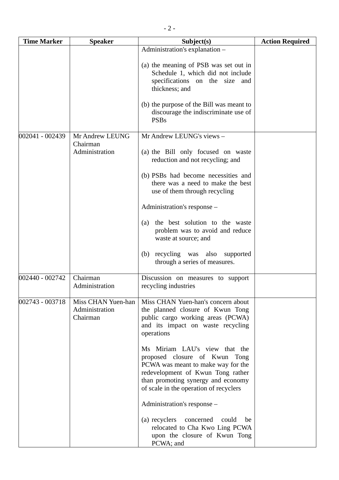| <b>Time Marker</b> | <b>Speaker</b>                                   | Subject(s)                                                                                                                                                                                                                | <b>Action Required</b> |
|--------------------|--------------------------------------------------|---------------------------------------------------------------------------------------------------------------------------------------------------------------------------------------------------------------------------|------------------------|
|                    |                                                  | Administration's explanation -                                                                                                                                                                                            |                        |
|                    |                                                  | (a) the meaning of PSB was set out in<br>Schedule 1, which did not include<br>specifications on the size and<br>thickness; and<br>(b) the purpose of the Bill was meant to                                                |                        |
|                    |                                                  | discourage the indiscriminate use of<br><b>PSBs</b>                                                                                                                                                                       |                        |
| 002041 - 002439    | Mr Andrew LEUNG<br>Chairman                      | Mr Andrew LEUNG's views -                                                                                                                                                                                                 |                        |
|                    | Administration                                   | (a) the Bill only focused on waste<br>reduction and not recycling; and                                                                                                                                                    |                        |
|                    |                                                  | (b) PSBs had become necessities and<br>there was a need to make the best<br>use of them through recycling                                                                                                                 |                        |
|                    |                                                  | Administration's response -                                                                                                                                                                                               |                        |
|                    |                                                  | the best solution to the waste<br>(a)<br>problem was to avoid and reduce<br>waste at source; and                                                                                                                          |                        |
|                    |                                                  | (b) recycling was also<br>supported<br>through a series of measures.                                                                                                                                                      |                        |
| 002440 - 002742    | Chairman<br>Administration                       | Discussion on measures to support<br>recycling industries                                                                                                                                                                 |                        |
| 002743 - 003718    | Miss CHAN Yuen-han<br>Administration<br>Chairman | Miss CHAN Yuen-han's concern about<br>the planned closure of Kwun Tong<br>public cargo working areas (PCWA)<br>and its impact on waste recycling<br>operations                                                            |                        |
|                    |                                                  | Ms Miriam LAU's view that the<br>proposed closure of Kwun Tong<br>PCWA was meant to make way for the<br>redevelopment of Kwun Tong rather<br>than promoting synergy and economy<br>of scale in the operation of recyclers |                        |
|                    |                                                  | Administration's response –                                                                                                                                                                                               |                        |
|                    |                                                  | (a) recyclers<br>concerned<br>could<br>be<br>relocated to Cha Kwo Ling PCWA<br>upon the closure of Kwun Tong<br>PCWA; and                                                                                                 |                        |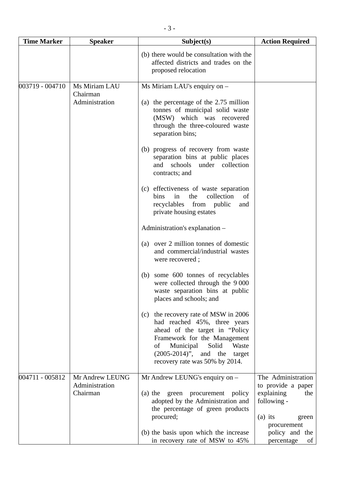| <b>Time Marker</b> | <b>Speaker</b>                                | Subject(s)                                                                                                                                                                                                                                                                                                                                                                                                                                                                                                                                                                                                                                                                                                                                                    | <b>Action Required</b>                                                                                                                                  |
|--------------------|-----------------------------------------------|---------------------------------------------------------------------------------------------------------------------------------------------------------------------------------------------------------------------------------------------------------------------------------------------------------------------------------------------------------------------------------------------------------------------------------------------------------------------------------------------------------------------------------------------------------------------------------------------------------------------------------------------------------------------------------------------------------------------------------------------------------------|---------------------------------------------------------------------------------------------------------------------------------------------------------|
|                    |                                               | (b) there would be consultation with the<br>affected districts and trades on the<br>proposed relocation                                                                                                                                                                                                                                                                                                                                                                                                                                                                                                                                                                                                                                                       |                                                                                                                                                         |
| 003719 - 004710    | Ms Miriam LAU<br>Chairman<br>Administration   | Ms Miriam LAU's enquiry on -<br>(a) the percentage of the 2.75 million<br>tonnes of municipal solid waste<br>(MSW) which was recovered<br>through the three-coloured waste<br>separation bins;<br>(b) progress of recovery from waste<br>separation bins at public places<br>schools<br>under collection<br>and<br>contracts; and<br>(c) effectiveness of waste separation<br>collection<br>the<br>bins<br>in<br>of<br>recyclables from public<br>and<br>private housing estates<br>Administration's explanation -<br>(a) over 2 million tonnes of domestic<br>and commercial/industrial wastes<br>were recovered;<br>some 600 tonnes of recyclables<br>(b)<br>were collected through the 9 000<br>waste separation bins at public<br>places and schools; and |                                                                                                                                                         |
|                    |                                               | (c) the recovery rate of MSW in 2006<br>had reached 45%, three years<br>ahead of the target in "Policy"<br>Framework for the Management<br>Municipal<br>Solid<br>Waste<br>οf<br>$(2005-2014)$ ", and the<br>target<br>recovery rate was 50% by 2014.                                                                                                                                                                                                                                                                                                                                                                                                                                                                                                          |                                                                                                                                                         |
| 004711 - 005812    | Mr Andrew LEUNG<br>Administration<br>Chairman | $Mr$ Andrew LEUNG's enquiry on $-$<br>(a) the green procurement policy<br>adopted by the Administration and<br>the percentage of green products<br>procured;<br>(b) the basis upon which the increase<br>in recovery rate of MSW to 45%                                                                                                                                                                                                                                                                                                                                                                                                                                                                                                                       | The Administration<br>to provide a paper<br>explaining<br>the<br>following -<br>$(a)$ its<br>green<br>procurement<br>policy and the<br>percentage<br>of |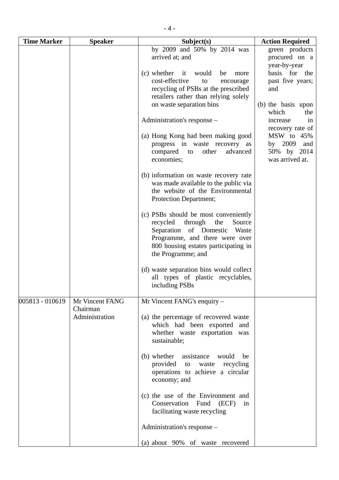| <b>Time Marker</b> | <b>Speaker</b>                                | Subject(s)                                                                                                                                                                                                                                                                                                                                                                                                                                                                        | <b>Action Required</b>                                                                                                                                                                                                                    |
|--------------------|-----------------------------------------------|-----------------------------------------------------------------------------------------------------------------------------------------------------------------------------------------------------------------------------------------------------------------------------------------------------------------------------------------------------------------------------------------------------------------------------------------------------------------------------------|-------------------------------------------------------------------------------------------------------------------------------------------------------------------------------------------------------------------------------------------|
|                    |                                               | by 2009 and 50% by 2014 was<br>arrived at; and<br>(c) whether it would<br>be<br>more<br>cost-effective<br>to<br>encourage<br>recycling of PSBs at the prescribed<br>retailers rather than relying solely<br>on waste separation bins<br>Administration's response -<br>(a) Hong Kong had been making good<br>progress in waste recovery as<br>other<br>advanced<br>compared<br>to<br>economies;<br>(b) information on waste recovery rate<br>was made available to the public via | green products<br>procured on a<br>year-by-year<br>basis for the<br>past five years;<br>and<br>(b) the basis upon<br>which<br>the<br>in<br>increase<br>recovery rate of<br>MSW to 45%<br>by 2009<br>and<br>50% by 2014<br>was arrived at. |
|                    |                                               | the website of the Environmental<br>Protection Department;<br>(c) PSBs should be most conveniently<br>recycled<br>through<br>Source<br>the<br>Separation<br>of Domestic<br>Waste<br>Programme, and there were over<br>800 housing estates participating in<br>the Programme; and<br>(d) waste separation bins would collect<br>all types of plastic recyclables,<br>including PSBs                                                                                                |                                                                                                                                                                                                                                           |
| 005813 - 010619    | Mr Vincent FANG<br>Chairman<br>Administration | Mr Vincent FANG's enquiry -<br>(a) the percentage of recovered waste<br>which had been exported and<br>whether waste exportation was<br>sustainable;<br>(b) whether assistance would<br>be<br>provided to<br>recycling<br>waste<br>operations to achieve a circular<br>economy; and<br>(c) the use of the Environment and<br>Conservation Fund (ECF)<br>in<br>facilitating waste recycling<br>Administration's response –<br>(a) about 90% of waste recovered                     |                                                                                                                                                                                                                                           |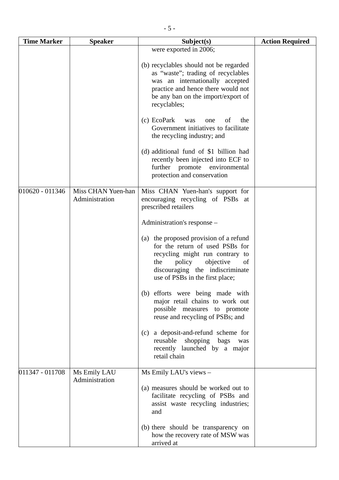| <b>Time Marker</b> | <b>Speaker</b>                       | Subject(s)                                                                                                                                                                                                             | <b>Action Required</b> |
|--------------------|--------------------------------------|------------------------------------------------------------------------------------------------------------------------------------------------------------------------------------------------------------------------|------------------------|
|                    |                                      | were exported in 2006;                                                                                                                                                                                                 |                        |
|                    |                                      | (b) recyclables should not be regarded<br>as "waste"; trading of recyclables<br>was an internationally accepted<br>practice and hence there would not<br>be any ban on the import/export of<br>recyclables;            |                        |
|                    |                                      | (c) EcoPark<br>of<br>the<br>was<br>one<br>Government initiatives to facilitate<br>the recycling industry; and                                                                                                          |                        |
|                    |                                      | (d) additional fund of \$1 billion had<br>recently been injected into ECF to<br>further promote environmental<br>protection and conservation                                                                           |                        |
| 010620 - 011346    | Miss CHAN Yuen-han<br>Administration | Miss CHAN Yuen-han's support for<br>encouraging recycling of PSBs at<br>prescribed retailers                                                                                                                           |                        |
|                    |                                      | Administration's response -                                                                                                                                                                                            |                        |
|                    |                                      | (a) the proposed provision of a refund<br>for the return of used PSBs for<br>recycling might run contrary to<br>policy<br>objective<br>the<br>of<br>discouraging the indiscriminate<br>use of PSBs in the first place; |                        |
|                    |                                      | (b) efforts were being made with<br>major retail chains to work out<br>possible measures to promote<br>reuse and recycling of PSBs; and                                                                                |                        |
|                    |                                      | a deposit-and-refund scheme for<br>(c)<br>reusable<br>shopping<br>bags<br>was<br>recently launched by a major<br>retail chain                                                                                          |                        |
| 011347 - 011708    | Ms Emily LAU<br>Administration       | Ms Emily LAU's views -                                                                                                                                                                                                 |                        |
|                    |                                      | (a) measures should be worked out to<br>facilitate recycling of PSBs and<br>assist waste recycling industries;<br>and                                                                                                  |                        |
|                    |                                      | (b) there should be transparency on<br>how the recovery rate of MSW was<br>arrived at                                                                                                                                  |                        |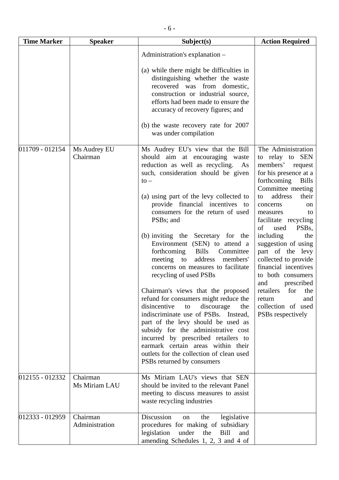| <b>Time Marker</b> | <b>Speaker</b>             | Subject(s)                                                                                                                                                                                                                                                                                                                                                                                                                                                                                                                                                                                                                                                                                                                                                                                                                                                                                                                            | <b>Action Required</b>                                                                                                                                                                                                                                                                                                                                                                                                                                                                                        |
|--------------------|----------------------------|---------------------------------------------------------------------------------------------------------------------------------------------------------------------------------------------------------------------------------------------------------------------------------------------------------------------------------------------------------------------------------------------------------------------------------------------------------------------------------------------------------------------------------------------------------------------------------------------------------------------------------------------------------------------------------------------------------------------------------------------------------------------------------------------------------------------------------------------------------------------------------------------------------------------------------------|---------------------------------------------------------------------------------------------------------------------------------------------------------------------------------------------------------------------------------------------------------------------------------------------------------------------------------------------------------------------------------------------------------------------------------------------------------------------------------------------------------------|
|                    |                            | Administration's explanation -                                                                                                                                                                                                                                                                                                                                                                                                                                                                                                                                                                                                                                                                                                                                                                                                                                                                                                        |                                                                                                                                                                                                                                                                                                                                                                                                                                                                                                               |
|                    |                            | (a) while there might be difficulties in<br>distinguishing whether the waste<br>recovered was from domestic,<br>construction or industrial source,<br>efforts had been made to ensure the<br>accuracy of recovery figures; and<br>(b) the waste recovery rate for 2007<br>was under compilation                                                                                                                                                                                                                                                                                                                                                                                                                                                                                                                                                                                                                                       |                                                                                                                                                                                                                                                                                                                                                                                                                                                                                                               |
| 011709 - 012154    | Ms Audrey EU<br>Chairman   | Ms Audrey EU's view that the Bill<br>should aim at encouraging waste<br>reduction as well as recycling. As<br>such, consideration should be given<br>$to -$<br>(a) using part of the levy collected to<br>provide financial incentives to<br>consumers for the return of used<br>PSB <sub>s</sub> ; and<br>(b) inviting the Secretary for the<br>Environment (SEN) to attend a<br>forthcoming<br><b>Bills</b><br>Committee<br>address<br>meeting to<br>members'<br>concerns on measures to facilitate<br>recycling of used PSBs<br>Chairman's views that the proposed<br>refund for consumers might reduce the<br>disincentive<br>discourage<br>to<br>the<br>indiscriminate use of PSBs. Instead,<br>part of the levy should be used as<br>subsidy for the administrative cost<br>incurred by prescribed retailers to<br>earmark certain areas within their<br>outlets for the collection of clean used<br>PSBs returned by consumers | The Administration<br>to relay to SEN<br>members'<br>request<br>for his presence at a<br>forthcoming<br><b>Bills</b><br>Committee meeting<br>address<br>their<br>to<br>concerns<br>on<br>measures<br>to<br>facilitate recycling<br>PSB <sub>s</sub> ,<br>of<br>used<br>including<br>the<br>suggestion of using<br>part of the levy<br>collected to provide<br>financial incentives<br>to both consumers<br>prescribed<br>and<br>retailers for the<br>return<br>and<br>collection of used<br>PSBs respectively |
| 012155 - 012332    | Chairman<br>Ms Miriam LAU  | Ms Miriam LAU's views that SEN<br>should be invited to the relevant Panel<br>meeting to discuss measures to assist<br>waste recycling industries                                                                                                                                                                                                                                                                                                                                                                                                                                                                                                                                                                                                                                                                                                                                                                                      |                                                                                                                                                                                                                                                                                                                                                                                                                                                                                                               |
| 012333 - 012959    | Chairman<br>Administration | Discussion<br>legislative<br>the<br>on<br>procedures for making of subsidiary<br>legislation<br>under<br>the<br>Bill<br>and<br>amending Schedules 1, 2, 3 and 4 of                                                                                                                                                                                                                                                                                                                                                                                                                                                                                                                                                                                                                                                                                                                                                                    |                                                                                                                                                                                                                                                                                                                                                                                                                                                                                                               |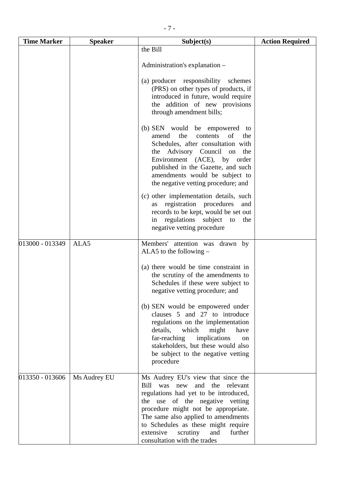| <b>Time Marker</b> | <b>Speaker</b> | Subject(s)                                                                                                                                                                                                                                                                                                                                      | <b>Action Required</b> |
|--------------------|----------------|-------------------------------------------------------------------------------------------------------------------------------------------------------------------------------------------------------------------------------------------------------------------------------------------------------------------------------------------------|------------------------|
|                    |                | the Bill                                                                                                                                                                                                                                                                                                                                        |                        |
|                    |                | Administration's explanation -                                                                                                                                                                                                                                                                                                                  |                        |
|                    |                | (a) producer responsibility schemes<br>(PRS) on other types of products, if<br>introduced in future, would require<br>the addition of new provisions<br>through amendment bills;                                                                                                                                                                |                        |
|                    |                | (b) SEN would be empowered to<br>contents<br>the<br>of<br>amend<br>the<br>Schedules, after consultation with<br>the Advisory Council on the<br>Environment (ACE), by order<br>published in the Gazette, and such<br>amendments would be subject to<br>the negative vetting procedure; and                                                       |                        |
|                    |                | (c) other implementation details, such<br>registration procedures<br>and<br>as<br>records to be kept, would be set out<br>regulations subject to<br>the<br>in<br>negative vetting procedure                                                                                                                                                     |                        |
| 013000 - 013349    | ALA5           | Members' attention was drawn by<br>ALA5 to the following $-$                                                                                                                                                                                                                                                                                    |                        |
|                    |                | (a) there would be time constraint in<br>the scrutiny of the amendments to<br>Schedules if these were subject to<br>negative vetting procedure; and                                                                                                                                                                                             |                        |
|                    |                | (b) SEN would be empowered under<br>clauses 5 and 27 to introduce<br>regulations on the implementation<br>details,<br>which<br>might<br>have<br>far-reaching<br>implications<br><sub>on</sub><br>stakeholders, but these would also<br>be subject to the negative vetting<br>procedure                                                          |                        |
| 013350 - 013606    | Ms Audrey EU   | Ms Audrey EU's view that since the<br>Bill was new and the relevant<br>regulations had yet to be introduced,<br>the use of the negative vetting<br>procedure might not be appropriate.<br>The same also applied to amendments<br>to Schedules as these might require<br>further<br>extensive<br>scrutiny<br>and<br>consultation with the trades |                        |